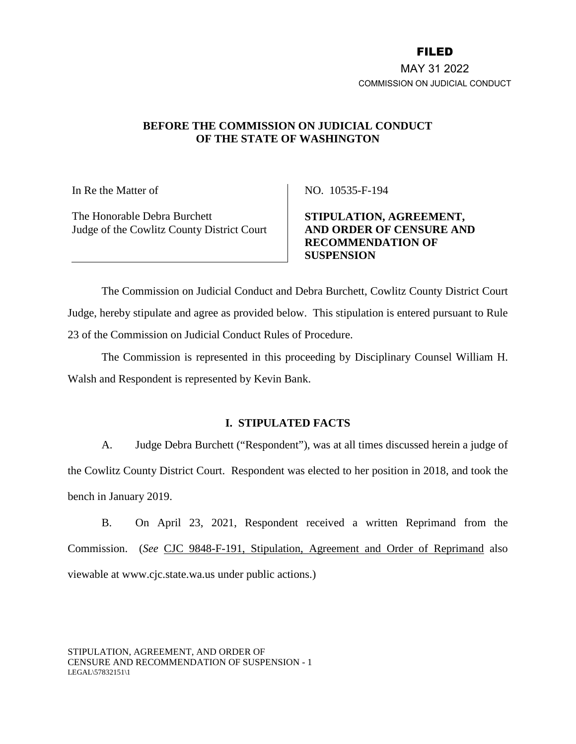## FILED

MAY 31 2022 COMMISSION ON JUDICIAL CONDUCT

# **BEFORE THE COMMISSION ON JUDICIAL CONDUCT OF THE STATE OF WASHINGTON**

In Re the Matter of

The Honorable Debra Burchett Judge of the Cowlitz County District Court NO. 10535-F-194

**STIPULATION, AGREEMENT, AND ORDER OF CENSURE AND RECOMMENDATION OF SUSPENSION** 

The Commission on Judicial Conduct and Debra Burchett, Cowlitz County District Court Judge, hereby stipulate and agree as provided below. This stipulation is entered pursuant to Rule 23 of the Commission on Judicial Conduct Rules of Procedure.

The Commission is represented in this proceeding by Disciplinary Counsel William H. Walsh and Respondent is represented by Kevin Bank.

## **I. STIPULATED FACTS**

A. Judge Debra Burchett ("Respondent"), was at all times discussed herein a judge of the Cowlitz County District Court. Respondent was elected to her position in 2018, and took the bench in January 2019.

B. On April 23, 2021, Respondent received a written Reprimand from the Commission. (*See* [CJC 9848-F-191, Stipulation, Agreement and Order of Reprimand](https://www.cjc.state.wa.us/index.php?page=activity§ion=public_actions&year=2021#9848) also viewable at www.cjc.state.wa.us under public actions.)

STIPULATION, AGREEMENT, AND ORDER OF CENSURE AND RECOMMENDATION OF SUSPENSION - 1 LEGAL\57832151\1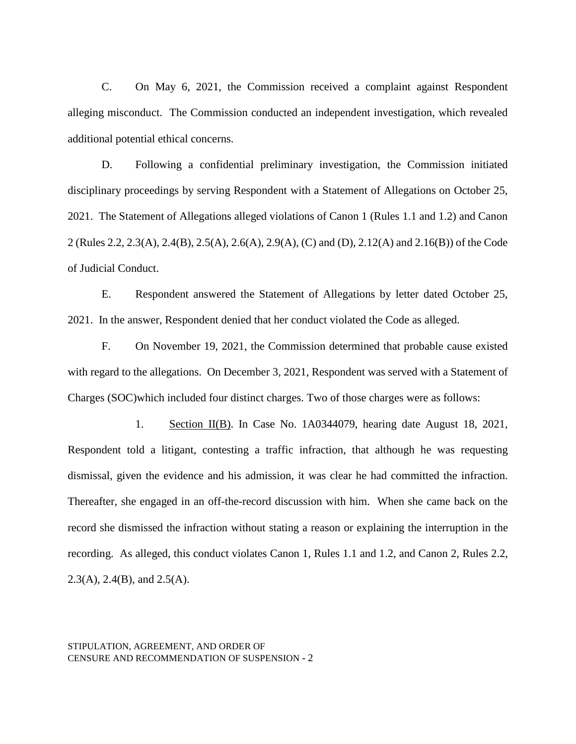C. On May 6, 2021, the Commission received a complaint against Respondent alleging misconduct. The Commission conducted an independent investigation, which revealed additional potential ethical concerns.

D. Following a confidential preliminary investigation, the Commission initiated disciplinary proceedings by serving Respondent with a Statement of Allegations on October 25, 2021. The Statement of Allegations alleged violations of Canon 1 (Rules 1.1 and 1.2) and Canon 2 (Rules 2.2, 2.3(A), 2.4(B), 2.5(A), 2.6(A), 2.9(A), (C) and (D), 2.12(A) and 2.16(B)) of the Code of Judicial Conduct.

E. Respondent answered the Statement of Allegations by letter dated October 25, 2021. In the answer, Respondent denied that her conduct violated the Code as alleged.

F. On November 19, 2021, the Commission determined that probable cause existed with regard to the allegations. On December 3, 2021, Respondent was served with a Statement of Charges (SOC)which included four distinct charges. Two of those charges were as follows:

1. Section II(B). In Case No. 1A0344079, hearing date August 18, 2021, Respondent told a litigant, contesting a traffic infraction, that although he was requesting dismissal, given the evidence and his admission, it was clear he had committed the infraction. Thereafter, she engaged in an off-the-record discussion with him. When she came back on the record she dismissed the infraction without stating a reason or explaining the interruption in the recording. As alleged, this conduct violates Canon 1, Rules 1.1 and 1.2, and Canon 2, Rules 2.2, 2.3(A), 2.4(B), and 2.5(A).

STIPULATION, AGREEMENT, AND ORDER OF CENSURE AND RECOMMENDATION OF SUSPENSION - 2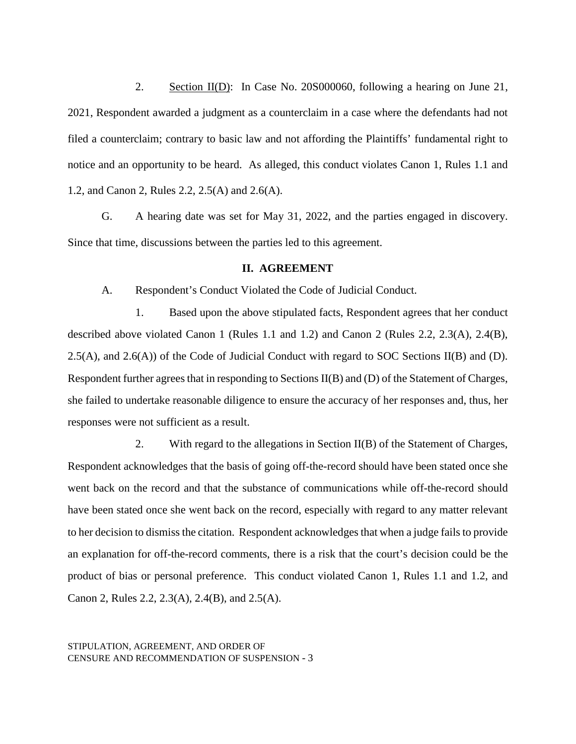2. Section II(D): In Case No. 20S000060, following a hearing on June 21, 2021, Respondent awarded a judgment as a counterclaim in a case where the defendants had not filed a counterclaim; contrary to basic law and not affording the Plaintiffs' fundamental right to notice and an opportunity to be heard. As alleged, this conduct violates Canon 1, Rules 1.1 and 1.2, and Canon 2, Rules 2.2, 2.5(A) and 2.6(A).

G. A hearing date was set for May 31, 2022, and the parties engaged in discovery. Since that time, discussions between the parties led to this agreement.

#### **II. AGREEMENT**

A. Respondent's Conduct Violated the Code of Judicial Conduct.

1. Based upon the above stipulated facts, Respondent agrees that her conduct described above violated Canon 1 (Rules 1.1 and 1.2) and Canon 2 (Rules 2.2, 2.3(A), 2.4(B), 2.5(A), and 2.6(A)) of the Code of Judicial Conduct with regard to SOC Sections II(B) and (D). Respondent further agrees that in responding to Sections II(B) and (D) of the Statement of Charges, she failed to undertake reasonable diligence to ensure the accuracy of her responses and, thus, her responses were not sufficient as a result.

2. With regard to the allegations in Section II(B) of the Statement of Charges, Respondent acknowledges that the basis of going off-the-record should have been stated once she went back on the record and that the substance of communications while off-the-record should have been stated once she went back on the record, especially with regard to any matter relevant to her decision to dismiss the citation. Respondent acknowledges that when a judge fails to provide an explanation for off-the-record comments, there is a risk that the court's decision could be the product of bias or personal preference. This conduct violated Canon 1, Rules 1.1 and 1.2, and Canon 2, Rules 2.2, 2.3(A), 2.4(B), and 2.5(A).

STIPULATION, AGREEMENT, AND ORDER OF CENSURE AND RECOMMENDATION OF SUSPENSION - 3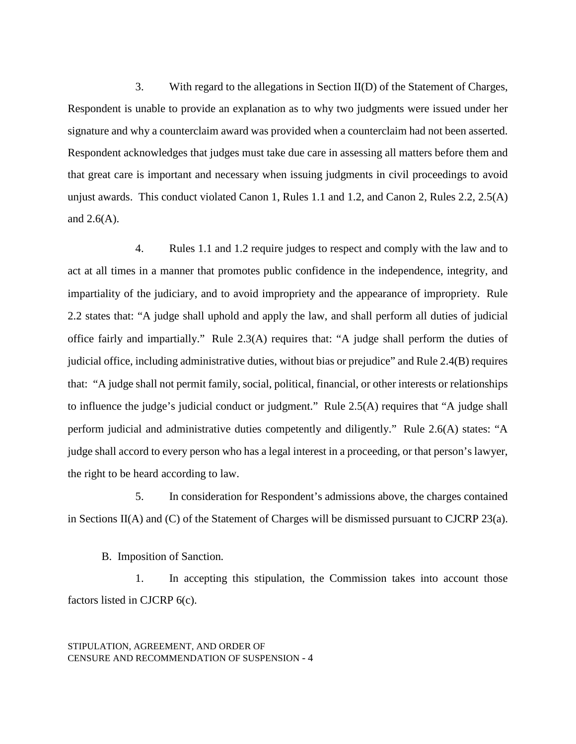3. With regard to the allegations in Section II(D) of the Statement of Charges, Respondent is unable to provide an explanation as to why two judgments were issued under her signature and why a counterclaim award was provided when a counterclaim had not been asserted. Respondent acknowledges that judges must take due care in assessing all matters before them and that great care is important and necessary when issuing judgments in civil proceedings to avoid unjust awards. This conduct violated Canon 1, Rules 1.1 and 1.2, and Canon 2, Rules 2.2, 2.5(A) and  $2.6(A)$ .

4. Rules 1.1 and 1.2 require judges to respect and comply with the law and to act at all times in a manner that promotes public confidence in the independence, integrity, and impartiality of the judiciary, and to avoid impropriety and the appearance of impropriety. Rule 2.2 states that: "A judge shall uphold and apply the law, and shall perform all duties of judicial office fairly and impartially." Rule 2.3(A) requires that: "A judge shall perform the duties of judicial office, including administrative duties, without bias or prejudice" and Rule 2.4(B) requires that: "A judge shall not permit family, social, political, financial, or other interests or relationships to influence the judge's judicial conduct or judgment." Rule 2.5(A) requires that "A judge shall perform judicial and administrative duties competently and diligently." Rule 2.6(A) states: "A judge shall accord to every person who has a legal interest in a proceeding, or that person's lawyer, the right to be heard according to law.

5. In consideration for Respondent's admissions above, the charges contained in Sections II(A) and (C) of the Statement of Charges will be dismissed pursuant to CJCRP 23(a).

B. Imposition of Sanction*.*

1. In accepting this stipulation, the Commission takes into account those factors listed in CJCRP 6(c).

STIPULATION, AGREEMENT, AND ORDER OF CENSURE AND RECOMMENDATION OF SUSPENSION - 4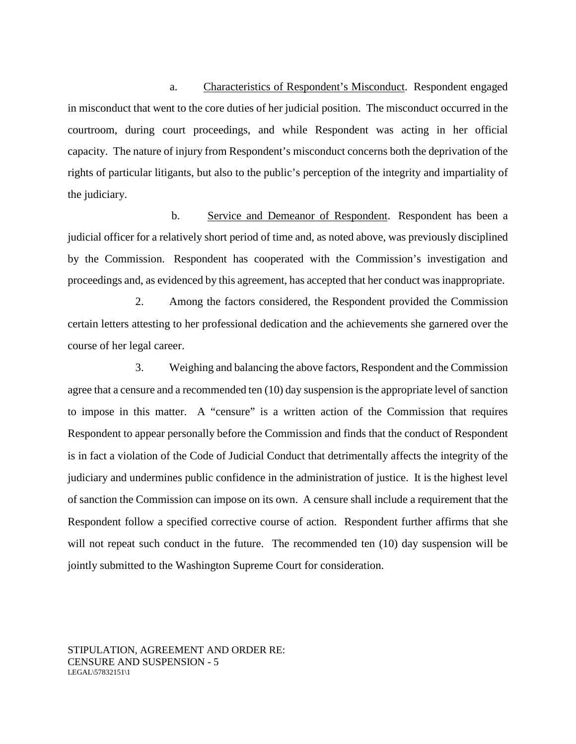a. Characteristics of Respondent's Misconduct. Respondent engaged in misconduct that went to the core duties of her judicial position. The misconduct occurred in the courtroom, during court proceedings, and while Respondent was acting in her official capacity. The nature of injury from Respondent's misconduct concerns both the deprivation of the rights of particular litigants, but also to the public's perception of the integrity and impartiality of the judiciary.

 b. Service and Demeanor of Respondent. Respondent has been a judicial officer for a relatively short period of time and, as noted above, was previously disciplined by the Commission. Respondent has cooperated with the Commission's investigation and proceedings and, as evidenced by this agreement, has accepted that her conduct was inappropriate.

2. Among the factors considered, the Respondent provided the Commission certain letters attesting to her professional dedication and the achievements she garnered over the course of her legal career.

3. Weighing and balancing the above factors, Respondent and the Commission agree that a censure and a recommended ten (10) day suspension is the appropriate level of sanction to impose in this matter. A "censure" is a written action of the Commission that requires Respondent to appear personally before the Commission and finds that the conduct of Respondent is in fact a violation of the Code of Judicial Conduct that detrimentally affects the integrity of the judiciary and undermines public confidence in the administration of justice. It is the highest level of sanction the Commission can impose on its own. A censure shall include a requirement that the Respondent follow a specified corrective course of action. Respondent further affirms that she will not repeat such conduct in the future. The recommended ten (10) day suspension will be jointly submitted to the Washington Supreme Court for consideration.

STIPULATION, AGREEMENT AND ORDER RE: CENSURE AND SUSPENSION - 5 LEGAL\57832151\1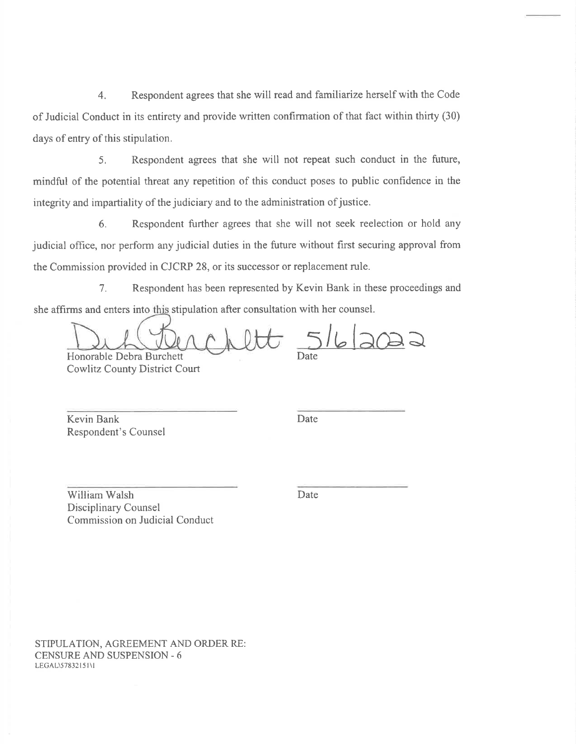Respondent agrees that she will read and familiarize herself with the Code  $4.$ of Judicial Conduct in its entirety and provide written confirmation of that fact within thirty (30) days of entry of this stipulation.

5. Respondent agrees that she will not repeat such conduct in the future, mindful of the potential threat any repetition of this conduct poses to public confidence in the integrity and impartiality of the judiciary and to the administration of justice.

6. Respondent further agrees that she will not seek reelection or hold any judicial office, nor perform any judicial duties in the future without first securing approval from the Commission provided in CJCRP 28, or its successor or replacement rule.

Respondent has been represented by Kevin Bank in these proceedings and  $7<sub>1</sub>$ she affirms and enters into this stipulation after consultation with her counsel.

Honorable Debra Burchett **Cowlitz County District Court** 

Kevin Bank Respondent's Counsel Date

William Walsh Disciplinary Counsel Commission on Judicial Conduct Date

STIPULATION, AGREEMENT AND ORDER RE: **CENSURE AND SUSPENSION - 6** LEGAL\57832151\I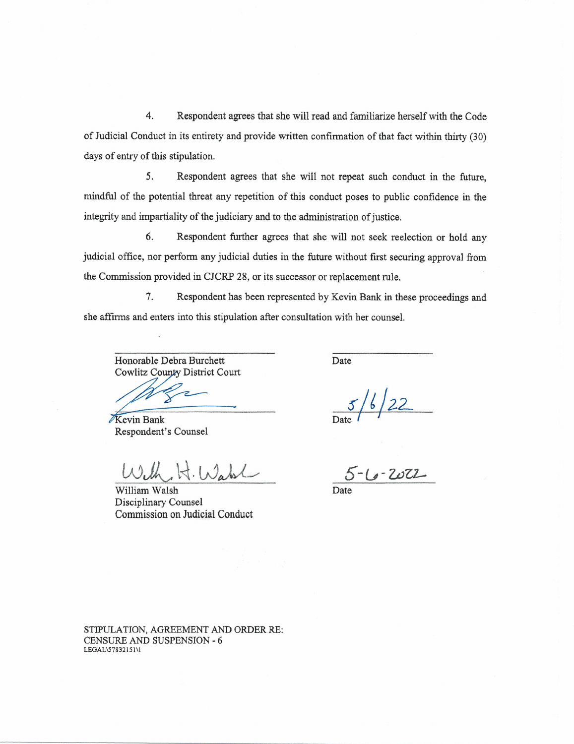$\overline{4}$ . Respondent agrees that she will read and familiarize herself with the Code of Judicial Conduct in its entirety and provide written confirmation of that fact within thirty (30) days of entry of this stipulation.

5. Respondent agrees that she will not repeat such conduct in the future. mindful of the potential threat any repetition of this conduct poses to public confidence in the integrity and impartiality of the judiciary and to the administration of justice.

Respondent further agrees that she will not seek reelection or hold any 6. judicial office, nor perform any judicial duties in the future without first securing approval from the Commission provided in CJCRP 28, or its successor or replacement rule.

7. Respondent has been represented by Kevin Bank in these proceedings and she affirms and enters into this stipulation after consultation with her counsel.

Honorable Debra Burchett Cowlitz County District Court

Kevin Bank Respondent's Counsel

 $H.Wabl$ 

William Walsh Disciplinary Counsel Commission on Judicial Conduct

Date

 $16/22$ 

 $5 - 6 - 2022$ 

STIPULATION, AGREEMENT AND ORDER RE: **CENSURE AND SUSPENSION - 6** LEGAL\57832151\1